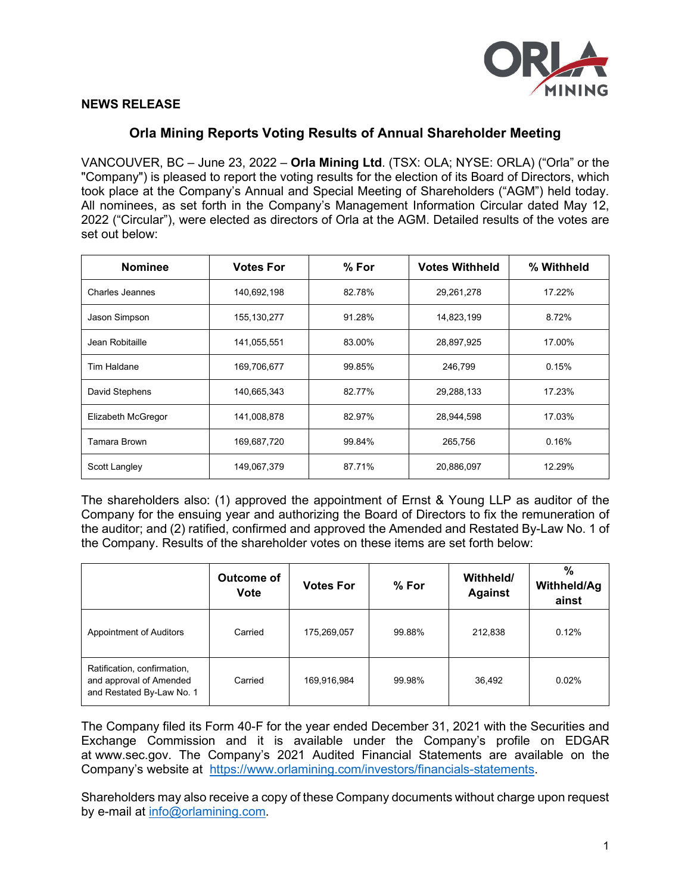

## **NEWS RELEASE**

## **Orla Mining Reports Voting Results of Annual Shareholder Meeting**

VANCOUVER, BC – June 23, 2022 – **Orla Mining Ltd**. (TSX: OLA; NYSE: ORLA) ("Orla" or the "Company") is pleased to report the voting results for the election of its Board of Directors, which took place at the Company's Annual and Special Meeting of Shareholders ("AGM") held today. All nominees, as set forth in the Company's Management Information Circular dated May 12, 2022 ("Circular"), were elected as directors of Orla at the AGM. Detailed results of the votes are set out below:

| <b>Nominee</b>         | <b>Votes For</b> | $%$ For | <b>Votes Withheld</b> | % Withheld |
|------------------------|------------------|---------|-----------------------|------------|
| <b>Charles Jeannes</b> | 140,692,198      | 82.78%  | 29,261,278            | 17.22%     |
| Jason Simpson          | 155, 130, 277    | 91.28%  | 14,823,199            | 8.72%      |
| Jean Robitaille        | 141,055,551      | 83.00%  | 28,897,925            | 17.00%     |
| Tim Haldane            | 169,706,677      | 99.85%  | 246,799               | 0.15%      |
| David Stephens         | 140,665,343      | 82.77%  | 29,288,133            | 17.23%     |
| Elizabeth McGregor     | 141,008,878      | 82.97%  | 28,944,598            | 17.03%     |
| Tamara Brown           | 169,687,720      | 99.84%  | 265,756               | 0.16%      |
| Scott Langley          | 149,067,379      | 87.71%  | 20,886,097            | 12.29%     |

The shareholders also: (1) approved the appointment of Ernst & Young LLP as auditor of the Company for the ensuing year and authorizing the Board of Directors to fix the remuneration of the auditor; and (2) ratified, confirmed and approved the Amended and Restated By-Law No. 1 of the Company. Results of the shareholder votes on these items are set forth below:

|                                                                                     | Outcome of<br>Vote | <b>Votes For</b> | $%$ For | Withheld/<br><b>Against</b> | %<br><b>Withheld/Ag</b><br>ainst |
|-------------------------------------------------------------------------------------|--------------------|------------------|---------|-----------------------------|----------------------------------|
| <b>Appointment of Auditors</b>                                                      | Carried            | 175,269,057      | 99.88%  | 212,838                     | 0.12%                            |
| Ratification, confirmation,<br>and approval of Amended<br>and Restated By-Law No. 1 | Carried            | 169,916,984      | 99.98%  | 36,492                      | 0.02%                            |

The Company filed its Form 40-F for the year ended December 31, 2021 with the Securities and Exchange Commission and it is available under the Company's profile on EDGAR at [www.sec.gov.](http://www.sec.gov/edgar.shtml) The Company's 2021 Audited Financial Statements are available on the Company's website at [https://www.orlamining.com/investors/financials-statements.](https://www.orlamining.com/investors/financials-statements)

Shareholders may also receive a copy of these Company documents without charge upon request by e-mail at [info@orlamining.com.](mailto:info@orlamining.com)